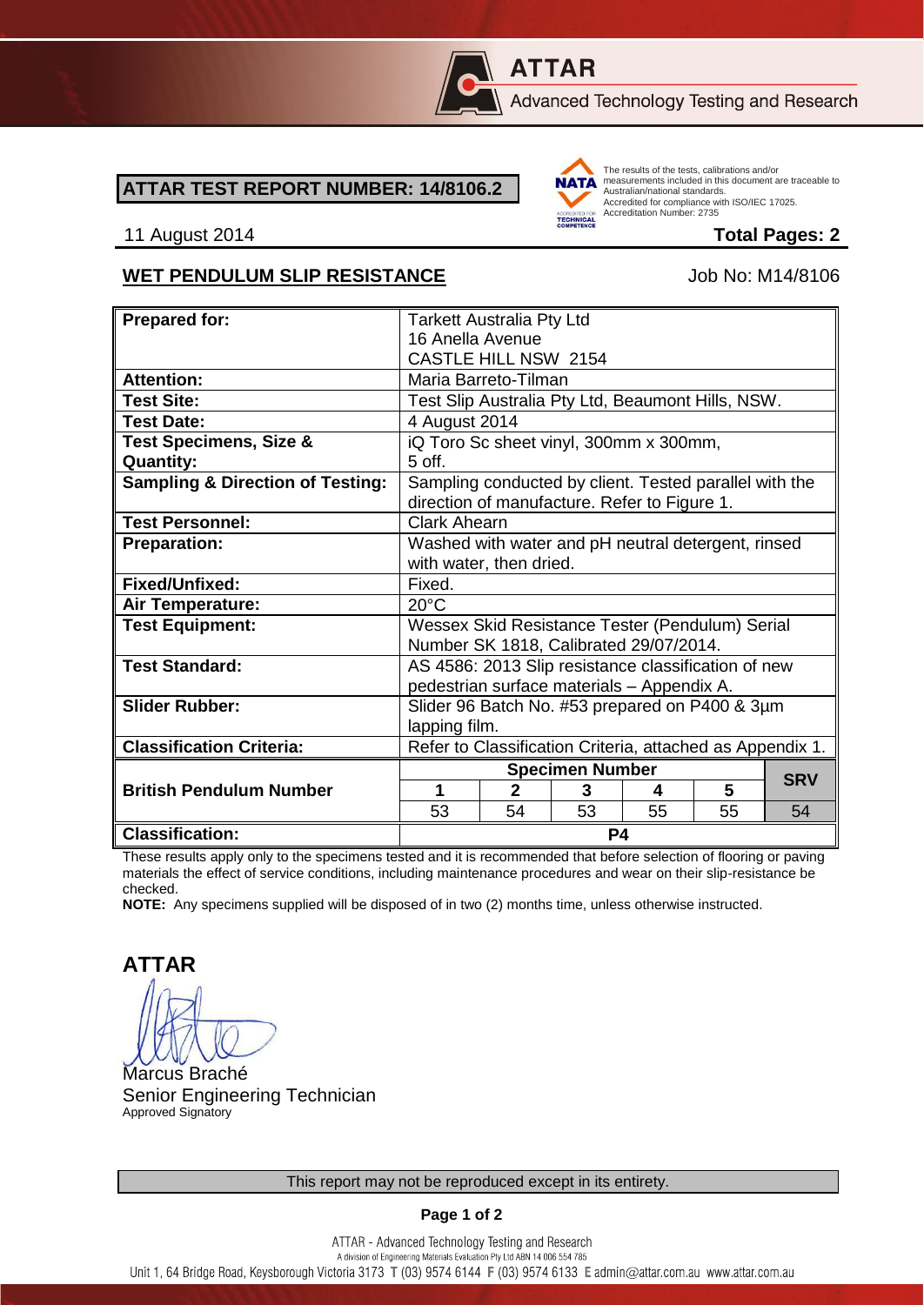

# **ATTAR**

Advanced Technology Testing and Research

#### **ATTAR TEST REPORT NUMBER: 14/8106.2**



The results of the tests, calibrations and/or measurements included in this document are traceable to Australian/national standards. Adstrational Midtonian Standards:<br>Accredited for compliance with ISO/IEC 17025. Accreditation Number: 2735

#### 11 August 2014 **Total Pages: 2**

### WET PENDULUM SLIP RESISTANCE Job No: M14/8106

| <b>Prepared for:</b>                        | <b>Tarkett Australia Pty Ltd</b>                                                                       |              |    |    |    |            |
|---------------------------------------------|--------------------------------------------------------------------------------------------------------|--------------|----|----|----|------------|
|                                             | 16 Anella Avenue                                                                                       |              |    |    |    |            |
|                                             | <b>CASTLE HILL NSW 2154</b>                                                                            |              |    |    |    |            |
| <b>Attention:</b>                           | Maria Barreto-Tilman                                                                                   |              |    |    |    |            |
| <b>Test Site:</b>                           | Test Slip Australia Pty Ltd, Beaumont Hills, NSW.                                                      |              |    |    |    |            |
| <b>Test Date:</b>                           | 4 August 2014                                                                                          |              |    |    |    |            |
| <b>Test Specimens, Size &amp;</b>           | iQ Toro Sc sheet vinyl, 300mm x 300mm,                                                                 |              |    |    |    |            |
| <b>Quantity:</b>                            | $5$ off.                                                                                               |              |    |    |    |            |
| <b>Sampling &amp; Direction of Testing:</b> | Sampling conducted by client. Tested parallel with the<br>direction of manufacture. Refer to Figure 1. |              |    |    |    |            |
| <b>Test Personnel:</b>                      | <b>Clark Ahearn</b>                                                                                    |              |    |    |    |            |
| <b>Preparation:</b>                         | Washed with water and pH neutral detergent, rinsed                                                     |              |    |    |    |            |
|                                             | with water, then dried.                                                                                |              |    |    |    |            |
| Fixed/Unfixed:                              | Fixed.                                                                                                 |              |    |    |    |            |
| Air Temperature:                            | $20^{\circ}$ C                                                                                         |              |    |    |    |            |
| <b>Test Equipment:</b>                      | Wessex Skid Resistance Tester (Pendulum) Serial                                                        |              |    |    |    |            |
|                                             | Number SK 1818, Calibrated 29/07/2014.                                                                 |              |    |    |    |            |
| <b>Test Standard:</b>                       | AS 4586: 2013 Slip resistance classification of new                                                    |              |    |    |    |            |
|                                             | pedestrian surface materials - Appendix A.                                                             |              |    |    |    |            |
| <b>Slider Rubber:</b>                       | Slider 96 Batch No. #53 prepared on P400 & 3µm                                                         |              |    |    |    |            |
|                                             | lapping film.                                                                                          |              |    |    |    |            |
| <b>Classification Criteria:</b>             | Refer to Classification Criteria, attached as Appendix 1.                                              |              |    |    |    |            |
|                                             | <b>Specimen Number</b>                                                                                 |              |    |    |    | <b>SRV</b> |
| <b>British Pendulum Number</b>              | 1                                                                                                      | $\mathbf{2}$ | 3  | 4  | 5  |            |
|                                             | 53                                                                                                     | 54           | 53 | 55 | 55 | 54         |
| <b>Classification:</b>                      | P4                                                                                                     |              |    |    |    |            |

These results apply only to the specimens tested and it is recommended that before selection of flooring or paving materials the effect of service conditions, including maintenance procedures and wear on their slip-resistance be checked.

**NOTE:** Any specimens supplied will be disposed of in two (2) months time, unless otherwise instructed.

**ATTAR**

Marcus Braché Senior Engineering Technician Approved Signatory

**Page 1 of 2**